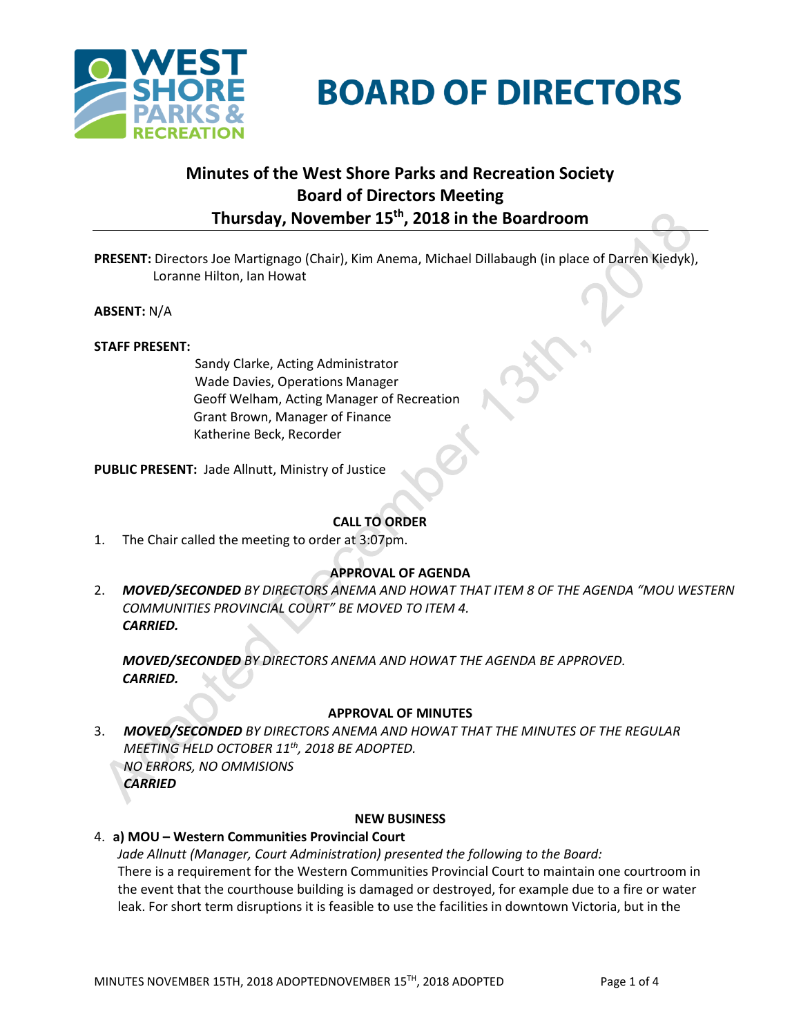

# **BOARD OF DIRECTORS**

# **Minutes of the West Shore Parks and Recreation Society Board of Directors Meeting Thursday, November 15th , 2018 in the Boardroom**

**PRESENT:** Directors Joe Martignago (Chair), Kim Anema, Michael Dillabaugh (in place of Darren Kiedyk), Loranne Hilton, Ian Howat

**ABSENT:** N/A

# **STAFF PRESENT:**

Sandy Clarke, Acting Administrator Wade Davies, Operations Manager Geoff Welham, Acting Manager of Recreation Grant Brown, Manager of Finance Katherine Beck, Recorder

**PUBLIC PRESENT:** Jade Allnutt, Ministry of Justice

# **CALL TO ORDER**

1. The Chair called the meeting to order at 3:07pm.

# **APPROVAL OF AGENDA**

2. *MOVED/SECONDED BY DIRECTORS ANEMA AND HOWAT THAT ITEM 8 OF THE AGENDA "MOU WESTERN COMMUNITIES PROVINCIAL COURT" BE MOVED TO ITEM 4. CARRIED.*

*MOVED/SECONDED BY DIRECTORS ANEMA AND HOWAT THE AGENDA BE APPROVED. CARRIED.*

#### **APPROVAL OF MINUTES**

3. *MOVED/SECONDED BY DIRECTORS ANEMA AND HOWAT THAT THE MINUTES OF THE REGULAR MEETING HELD OCTOBER 11th , 2018 BE ADOPTED. NO ERRORS, NO OMMISIONS CARRIED*

#### **NEW BUSINESS**

# 4. **a) MOU – Western Communities Provincial Court**

*Jade Allnutt (Manager, Court Administration) presented the following to the Board:* There is a requirement for the Western Communities Provincial Court to maintain one courtroom in the event that the courthouse building is damaged or destroyed, for example due to a fire or water leak. For short term disruptions it is feasible to use the facilities in downtown Victoria, but in the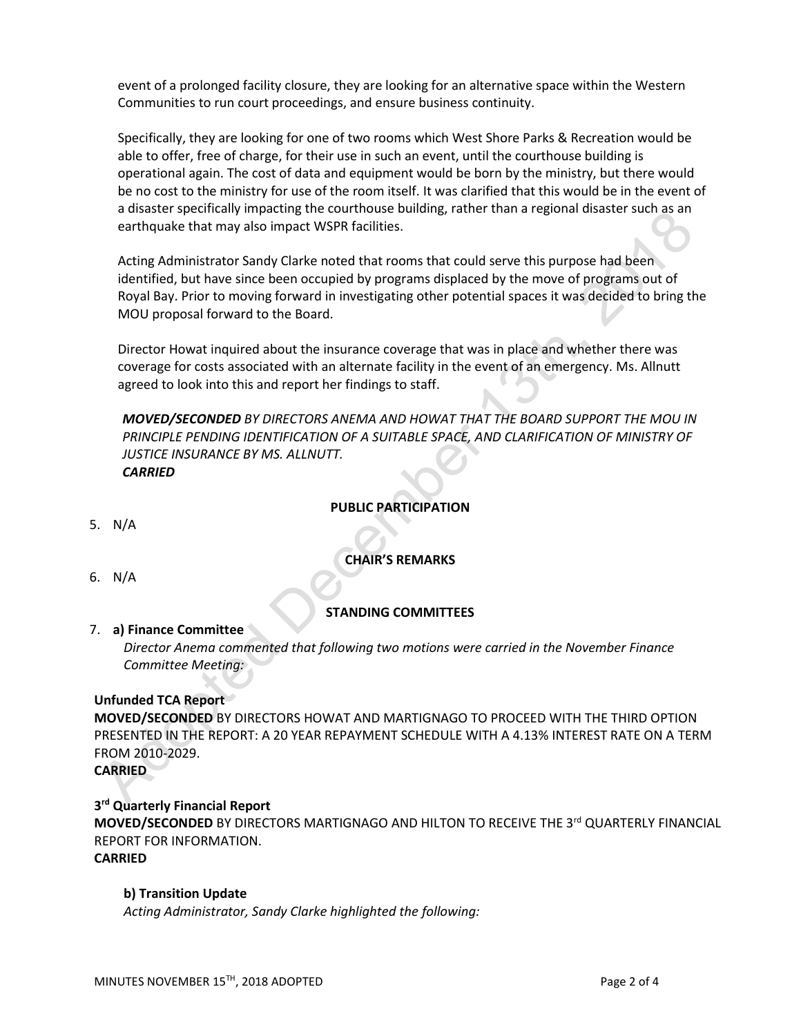event of a prolonged facility closure, they are looking for an alternative space within the Western Communities to run court proceedings, and ensure business continuity.

Specifically, they are looking for one of two rooms which West Shore Parks & Recreation would be able to offer, free of charge, for their use in such an event, until the courthouse building is operational again. The cost of data and equipment would be born by the ministry, but there would be no cost to the ministry for use of the room itself. It was clarified that this would be in the event of a disaster specifically impacting the courthouse building, rather than a regional disaster such as an earthquake that may also impact WSPR facilities.

Acting Administrator Sandy Clarke noted that rooms that could serve this purpose had been identified, but have since been occupied by programs displaced by the move of programs out of Royal Bay. Prior to moving forward in investigating other potential spaces it was decided to bring the MOU proposal forward to the Board.

Director Howat inquired about the insurance coverage that was in place and whether there was coverage for costs associated with an alternate facility in the event of an emergency. Ms. Allnutt agreed to look into this and report her findings to staff.

*MOVED/SECONDED BY DIRECTORS ANEMA AND HOWAT THAT THE BOARD SUPPORT THE MOU IN PRINCIPLE PENDING IDENTIFICATION OF A SUITABLE SPACE, AND CLARIFICATION OF MINISTRY OF JUSTICE INSURANCE BY MS. ALLNUTT. CARRIED*

**PUBLIC PARTICIPATION**

5. N/A

# **CHAIR'S REMARKS**

6. N/A

# **STANDING COMMITTEES**

#### 7. **a) Finance Committee**

*Director Anema commented that following two motions were carried in the November Finance Committee Meeting:*

# **Unfunded TCA Report**

**MOVED/SECONDED** BY DIRECTORS HOWAT AND MARTIGNAGO TO PROCEED WITH THE THIRD OPTION PRESENTED IN THE REPORT: A 20 YEAR REPAYMENT SCHEDULE WITH A 4.13% INTEREST RATE ON A TERM FROM 2010-2029.

**CARRIED**

**3 rd Quarterly Financial Report MOVED/SECONDED** BY DIRECTORS MARTIGNAGO AND HILTON TO RECEIVE THE 3rd QUARTERLY FINANCIAL REPORT FOR INFORMATION. **CARRIED**

#### **b) Transition Update**

*Acting Administrator, Sandy Clarke highlighted the following:*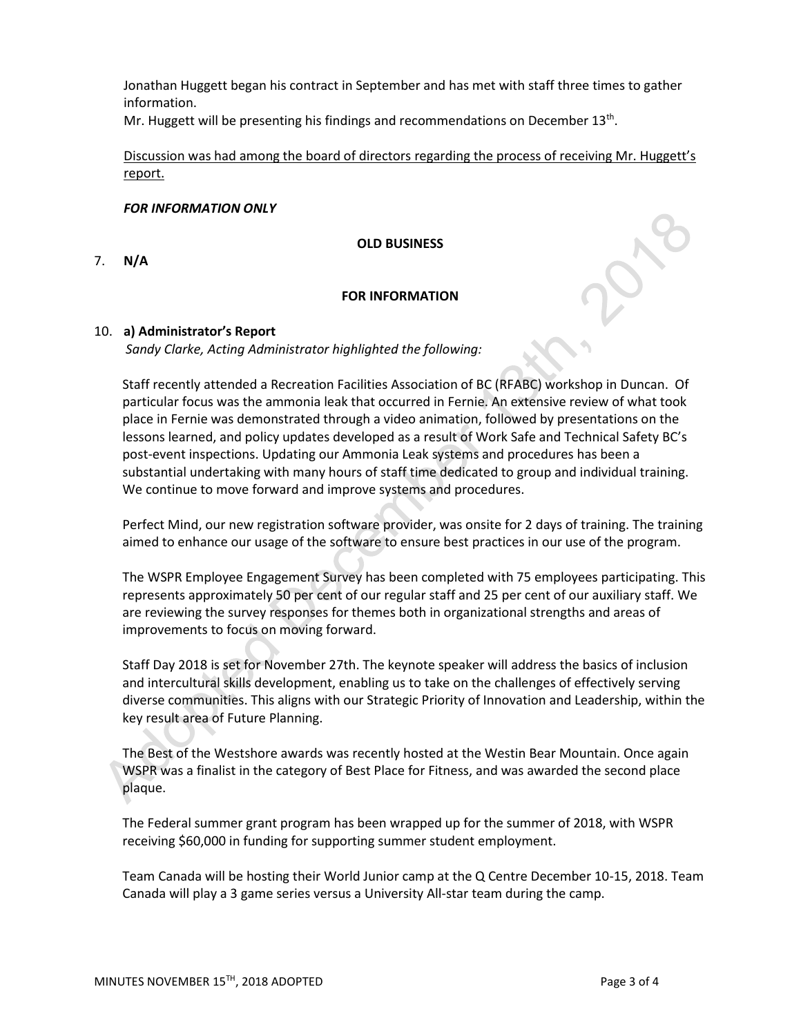Jonathan Huggett began his contract in September and has met with staff three times to gather information.

Mr. Huggett will be presenting his findings and recommendations on December 13<sup>th</sup>.

Discussion was had among the board of directors regarding the process of receiving Mr. Huggett's report.

# *FOR INFORMATION ONLY*

**OLD BUSINESS**

7. **N/A**

# **FOR INFORMATION**

# 10. **a) Administrator's Report**

*Sandy Clarke, Acting Administrator highlighted the following:*

Staff recently attended a Recreation Facilities Association of BC (RFABC) workshop in Duncan. Of particular focus was the ammonia leak that occurred in Fernie. An extensive review of what took place in Fernie was demonstrated through a video animation, followed by presentations on the lessons learned, and policy updates developed as a result of Work Safe and Technical Safety BC's post-event inspections. Updating our Ammonia Leak systems and procedures has been a substantial undertaking with many hours of staff time dedicated to group and individual training. We continue to move forward and improve systems and procedures.

Perfect Mind, our new registration software provider, was onsite for 2 days of training. The training aimed to enhance our usage of the software to ensure best practices in our use of the program.

The WSPR Employee Engagement Survey has been completed with 75 employees participating. This represents approximately 50 per cent of our regular staff and 25 per cent of our auxiliary staff. We are reviewing the survey responses for themes both in organizational strengths and areas of improvements to focus on moving forward.

Staff Day 2018 is set for November 27th. The keynote speaker will address the basics of inclusion and intercultural skills development, enabling us to take on the challenges of effectively serving diverse communities. This aligns with our Strategic Priority of Innovation and Leadership, within the key result area of Future Planning.

The Best of the Westshore awards was recently hosted at the Westin Bear Mountain. Once again WSPR was a finalist in the category of Best Place for Fitness, and was awarded the second place plaque.

The Federal summer grant program has been wrapped up for the summer of 2018, with WSPR receiving \$60,000 in funding for supporting summer student employment.

Team Canada will be hosting their World Junior camp at the Q Centre December 10-15, 2018. Team Canada will play a 3 game series versus a University All-star team during the camp.